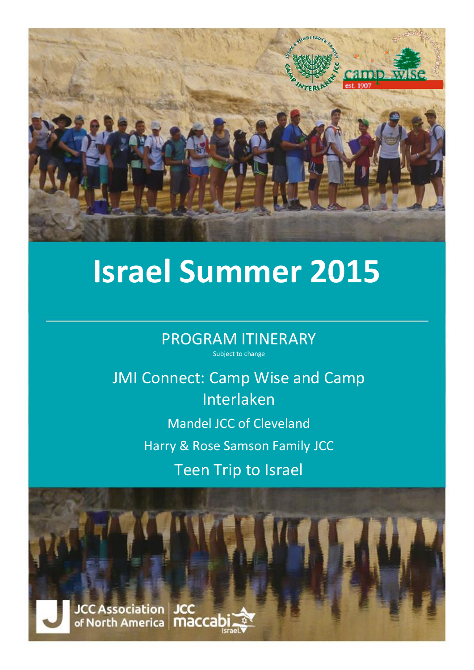

# **Israel Summer 2015**

PROGRAM ITINERARY Subject to change

JMI Connect: Camp Wise and Camp Interlaken Mandel JCC of Cleveland

Harry & Rose Samson Family JCC

Teen Trip to Israel

**JCC Association | JCC** of North America | MaCCa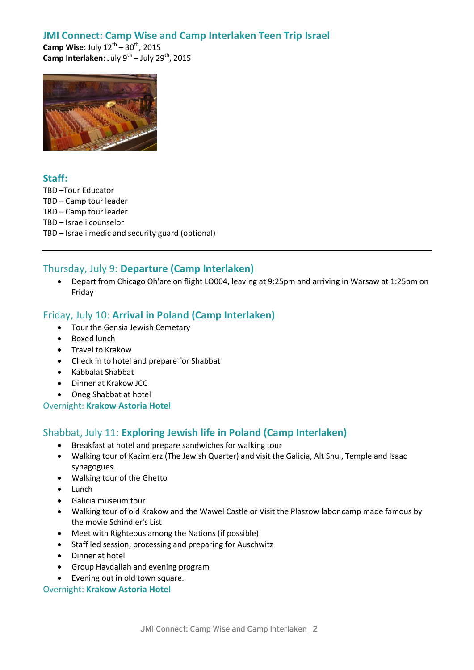# **JMI Connect: Camp Wise and Camp Interlaken Teen Trip Israel**

**Camp Wise:** July  $12^{th} - 30^{th}$ , 2015 **Camp Interlaken**: July 9<sup>th</sup> – July 29<sup>th</sup>, 2015



# **Staff:**

TBD –Tour Educator TBD – Camp tour leader TBD – Camp tour leader TBD – Israeli counselor TBD – Israeli medic and security guard (optional)

# Thursday, July 9: **Departure (Camp Interlaken)**

 Depart from Chicago Oh'are on flight LO004, leaving at 9:25pm and arriving in Warsaw at 1:25pm on Friday

# Friday, July 10: **Arrival in Poland (Camp Interlaken)**

- Tour the Gensia Jewish Cemetary
- Boxed lunch
- Travel to Krakow
- Check in to hotel and prepare for Shabbat
- Kabbalat Shabbat
- Dinner at Krakow JCC
- Oneg Shabbat at hotel

#### Overnight: **Krakow Astoria Hotel**

#### Shabbat, July 11: **Exploring Jewish life in Poland (Camp Interlaken)**

- Breakfast at hotel and prepare sandwiches for walking tour
- Walking tour of Kazimierz (The Jewish Quarter) and visit the Galicia, Alt Shul, Temple and Isaac synagogues.
- Walking tour of the Ghetto
- Lunch
- Galicia museum tour
- Walking tour of old Krakow and the Wawel Castle or Visit the Plaszow labor camp made famous by the movie Schindler's List
- Meet with Righteous among the Nations (if possible)
- Staff led session; processing and preparing for Auschwitz
- Dinner at hotel
- Group Havdallah and evening program
- Evening out in old town square.

#### Overnight: **Krakow Astoria Hotel**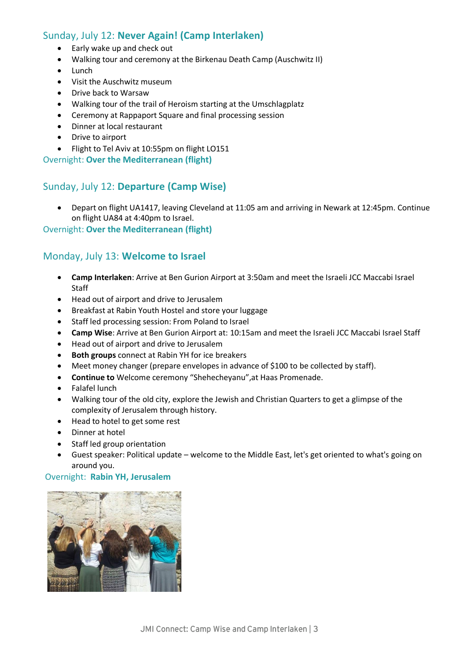# Sunday, July 12: **Never Again! (Camp Interlaken)**

- Early wake up and check out
- Walking tour and ceremony at the Birkenau Death Camp (Auschwitz II)
- Lunch
- Visit the Auschwitz museum
- Drive back to Warsaw
- Walking tour of the trail of Heroism starting at the Umschlagplatz
- Ceremony at Rappaport Square and final processing session
- Dinner at local restaurant
- Drive to airport
- Flight to Tel Aviv at 10:55pm on flight LO151

Overnight: **Over the Mediterranean (flight)**

#### Sunday, July 12: **Departure (Camp Wise)**

 Depart on flight UA1417, leaving Cleveland at 11:05 am and arriving in Newark at 12:45pm. Continue on flight UA84 at 4:40pm to Israel.

#### Overnight: **Over the Mediterranean (flight)**

#### Monday, July 13: **Welcome to Israel**

- **Camp Interlaken**: Arrive at Ben Gurion Airport at 3:50am and meet the Israeli JCC Maccabi Israel Staff
- Head out of airport and drive to Jerusalem
- Breakfast at Rabin Youth Hostel and store your luggage
- Staff led processing session: From Poland to Israel
- **Camp Wise**: Arrive at Ben Gurion Airport at: 10:15am and meet the Israeli JCC Maccabi Israel Staff
- Head out of airport and drive to Jerusalem
- **Both groups** connect at Rabin YH for ice breakers
- Meet money changer (prepare envelopes in advance of \$100 to be collected by staff).
- **Continue to** Welcome ceremony "Shehecheyanu",at Haas Promenade.
- Falafel lunch
- Walking tour of the old city, explore the Jewish and Christian Quarters to get a glimpse of the complexity of Jerusalem through history.
- Head to hotel to get some rest
- Dinner at hotel
- Staff led group orientation
- Guest speaker: Political update welcome to the Middle East, let's get oriented to what's going on around you.

#### Overnight: **Rabin YH, Jerusalem**

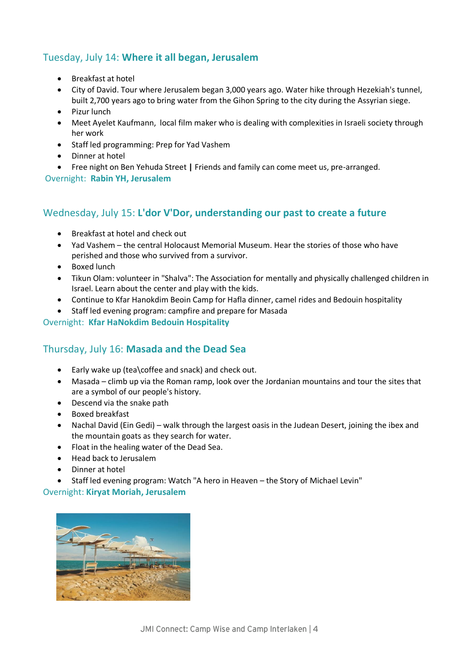# Tuesday, July 14: **Where it all began, Jerusalem**

- Breakfast at hotel
- City of David. Tour where Jerusalem began 3,000 years ago. Water hike through Hezekiah's tunnel, built 2,700 years ago to bring water from the Gihon Spring to the city during the Assyrian siege.
- Pizur lunch
- Meet Ayelet Kaufmann, local film maker who is dealing with complexities in Israeli society through her work
- Staff led programming: Prep for Yad Vashem
- Dinner at hotel
- Free night on Ben Yehuda Street **|** Friends and family can come meet us, pre-arranged.

Overnight: **Rabin YH, Jerusalem**

# Wednesday, July 15: **L'dor V'Dor, understanding our past to create a future**

- Breakfast at hotel and check out
- Yad Vashem the central Holocaust Memorial Museum. Hear the stories of those who have perished and those who survived from a survivor.
- Boxed lunch
- Tikun Olam: volunteer in "Shalva": The Association for mentally and physically challenged children in Israel. Learn about the center and play with the kids.
- Continue to Kfar Hanokdim Beoin Camp for Hafla dinner, camel rides and Bedouin hospitality
- Staff led evening program: campfire and prepare for Masada

#### Overnight: **Kfar HaNokdim Bedouin Hospitality**

# Thursday, July 16: **Masada and the Dead Sea**

- Early wake up (tea\coffee and snack) and check out.
- Masada climb up via the Roman ramp, look over the Jordanian mountains and tour the sites that are a symbol of our people's history.
- Descend via the snake path
- Boxed breakfast
- Nachal David (Ein Gedi) walk through the largest oasis in the Judean Desert, joining the ibex and the mountain goats as they search for water.
- Float in the healing water of the Dead Sea.
- Head back to Jerusalem
- Dinner at hotel
- Staff led evening program: Watch "A hero in Heaven the Story of Michael Levin"

#### Overnight: **Kiryat Moriah, Jerusalem**

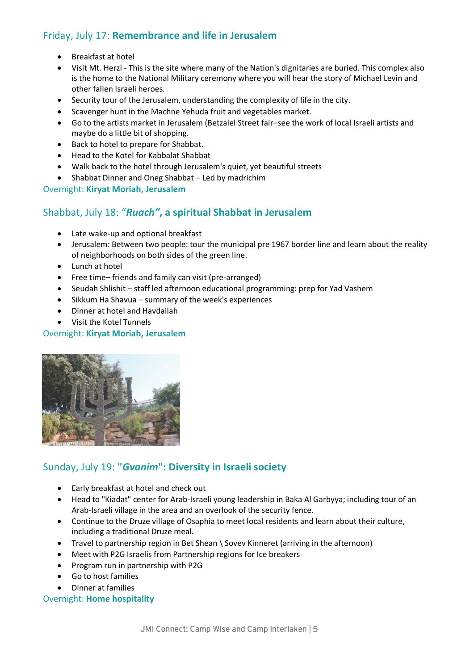# Friday, July 17: **Remembrance and life in Jerusalem**

- Breakfast at hotel
- Visit Mt. Herzl This is the site where many of the Nation's dignitaries are buried. This complex also is the home to the National Military ceremony where you will hear the story of Michael Levin and other fallen Israeli heroes.
- Security tour of the Jerusalem, understanding the complexity of life in the city.
- Scavenger hunt in the Machne Yehuda fruit and vegetables market.
- Go to the artists market in Jerusalem (Betzalel Street fair–see the work of local Israeli artists and maybe do a little bit of shopping.
- Back to hotel to prepare for Shabbat.
- Head to the Kotel for Kabbalat Shabbat
- Walk back to the hotel through Jerusalem's quiet, yet beautiful streets
- Shabbat Dinner and Oneg Shabbat Led by madrichim

#### Overnight: **Kiryat Moriah, Jerusalem**

# Shabbat, July 18: "*Ruach"***, a spiritual Shabbat in Jerusalem**

- Late wake-up and optional breakfast
- Jerusalem: Between two people: tour the municipal pre 1967 border line and learn about the reality of neighborhoods on both sides of the green line.
- Lunch at hotel
- Free time– friends and family can visit (pre-arranged)
- Seudah Shlishit staff led afternoon educational programming: prep for Yad Vashem
- Sikkum Ha Shavua summary of the week's experiences
- Dinner at hotel and Havdallah
- Visit the Kotel Tunnels

#### Overnight: **Kiryat Moriah, Jerusalem**



# Sunday, July 19: **"***Gvanim***": Diversity in Israeli society**

- Early breakfast at hotel and check out
- Head to "Kiadat" center for Arab-Israeli young leadership in Baka Al Garbyya; including tour of an Arab-Israeli village in the area and an overlook of the security fence.
- Continue to the Druze village of Osaphia to meet local residents and learn about their culture, including a traditional Druze meal.
- Travel to partnership region in Bet Shean \ Sovev Kinneret (arriving in the afternoon)
- Meet with P2G Israelis from Partnership regions for Ice breakers
- Program run in partnership with P2G
- Go to host families
- Dinner at families

#### Overnight: **Home hospitality**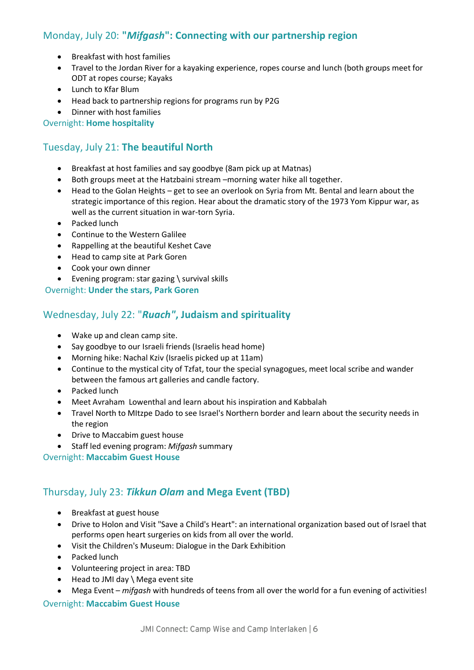# Monday, July 20: **"***Mifgash***": Connecting with our partnership region**

- Breakfast with host families
- Travel to the Jordan River for a kayaking experience, ropes course and lunch (both groups meet for ODT at ropes course; Kayaks
- Lunch to Kfar Blum
- Head back to partnership regions for programs run by P2G
- Dinner with host families

Overnight: **Home hospitality**

# Tuesday, July 21: **The beautiful North**

- Breakfast at host families and say goodbye (8am pick up at Matnas)
- Both groups meet at the Hatzbaini stream –morning water hike all together.
- Head to the Golan Heights get to see an overlook on Syria from Mt. Bental and learn about the strategic importance of this region. Hear about the dramatic story of the 1973 Yom Kippur war, as well as the current situation in war-torn Syria.
- Packed lunch
- Continue to the Western Galilee
- Rappelling at the beautiful Keshet Cave
- Head to camp site at Park Goren
- Cook your own dinner
- Evening program: star gazing \ survival skills

Overnight: **Under the stars, Park Goren**

# Wednesday, July 22: "*Ruach"***, Judaism and spirituality**

- Wake up and clean camp site.
- Say goodbye to our Israeli friends (Israelis head home)
- Morning hike: Nachal Kziv (Israelis picked up at 11am)
- Continue to the mystical city of Tzfat, tour the special synagogues, meet local scribe and wander between the famous art galleries and candle factory.
- Packed lunch
- Meet Avraham Lowenthal and learn about his inspiration and Kabbalah
- Travel North to MItzpe Dado to see Israel's Northern border and learn about the security needs in the region
- Drive to Maccabim guest house
- Staff led evening program: *Mifgash* summary

Overnight: **Maccabim Guest House**

# Thursday, July 23: *Tikkun Olam* **and Mega Event (TBD)**

- Breakfast at guest house
- Drive to Holon and Visit "Save a Child's Heart": an international organization based out of Israel that performs open heart surgeries on kids from all over the world.
- Visit the Children's Museum: Dialogue in the Dark Exhibition
- Packed lunch
- Volunteering project in area: TBD
- Head to JMI day \ Mega event site
- Mega Event *mifgash* with hundreds of teens from all over the world for a fun evening of activities!

#### Overnight: **Maccabim Guest House**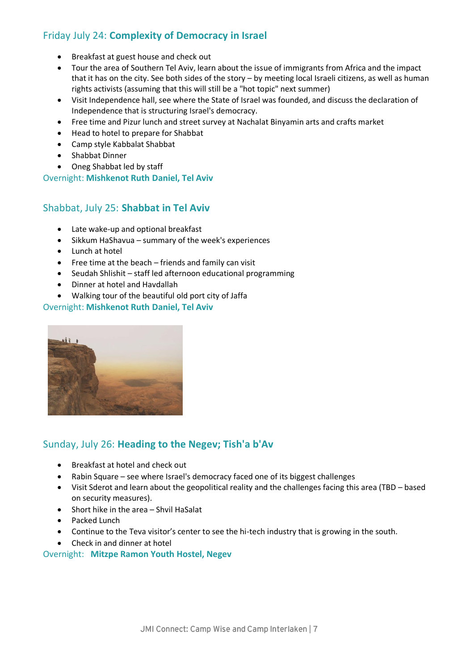# Friday July 24: **Complexity of Democracy in Israel**

- Breakfast at guest house and check out
- Tour the area of Southern Tel Aviv, learn about the issue of immigrants from Africa and the impact that it has on the city. See both sides of the story – by meeting local Israeli citizens, as well as human rights activists (assuming that this will still be a "hot topic" next summer)
- Visit Independence hall, see where the State of Israel was founded, and discuss the declaration of Independence that is structuring Israel's democracy.
- Free time and Pizur lunch and street survey at Nachalat Binyamin arts and crafts market
- Head to hotel to prepare for Shabbat
- Camp style Kabbalat Shabbat
- Shabbat Dinner
- Oneg Shabbat led by staff

Overnight: **Mishkenot Ruth Daniel, Tel Aviv**

# Shabbat, July 25: **Shabbat in Tel Aviv**

- Late wake-up and optional breakfast
- Sikkum HaShavua summary of the week's experiences
- Lunch at hotel
- Free time at the beach friends and family can visit
- Seudah Shlishit staff led afternoon educational programming
- Dinner at hotel and Havdallah
- Walking tour of the beautiful old port city of Jaffa

#### Overnight: **Mishkenot Ruth Daniel, Tel Aviv**



#### Sunday, July 26: **Heading to the Negev; Tish'a b'Av**

- Breakfast at hotel and check out
- Rabin Square see where Israel's democracy faced one of its biggest challenges
- Visit Sderot and learn about the geopolitical reality and the challenges facing this area (TBD based on security measures).
- Short hike in the area Shvil HaSalat
- Packed Lunch
- Continue to the Teva visitor's center to see the hi-tech industry that is growing in the south.
- Check in and dinner at hotel

#### Overnight: **Mitzpe Ramon Youth Hostel, Negev**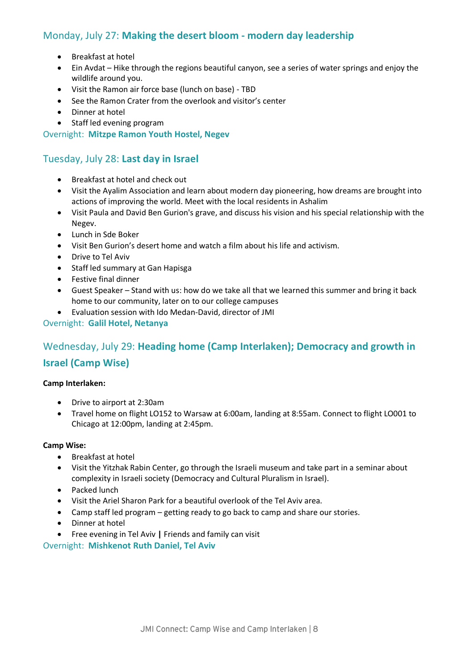# Monday, July 27: **Making the desert bloom - modern day leadership**

- Breakfast at hotel
- Ein Avdat Hike through the regions beautiful canyon, see a series of water springs and enjoy the wildlife around you.
- Visit the Ramon air force base (lunch on base) TBD
- See the Ramon Crater from the overlook and visitor's center
- Dinner at hotel
- Staff led evening program

Overnight: **Mitzpe Ramon Youth Hostel, Negev**

## Tuesday, July 28: **Last day in Israel**

- Breakfast at hotel and check out
- Visit the Ayalim Association and learn about modern day pioneering, how dreams are brought into actions of improving the world. Meet with the local residents in Ashalim
- Visit Paula and David Ben Gurion's grave, and discuss his vision and his special relationship with the Negev.
- Lunch in Sde Boker
- Visit Ben Gurion's desert home and watch a film about his life and activism.
- Drive to Tel Aviv
- Staff led summary at Gan Hapisga
- Festive final dinner
- Guest Speaker Stand with us: how do we take all that we learned this summer and bring it back home to our community, later on to our college campuses
- Evaluation session with Ido Medan-David, director of JMI

#### Overnight: **Galil Hotel, Netanya**

# Wednesday, July 29: **Heading home (Camp Interlaken); Democracy and growth in Israel (Camp Wise)**

#### **Camp Interlaken:**

- Drive to airport at 2:30am
- Travel home on flight LO152 to Warsaw at 6:00am, landing at 8:55am. Connect to flight LO001 to Chicago at 12:00pm, landing at 2:45pm.

#### **Camp Wise:**

- Breakfast at hotel
- Visit the [Yitzhak Rabin Center,](http://www.rabincenter.org.il/Web/En/EducationDepartment/WorkshopsandSeminars/Default.aspx) go through the Israeli museum and take part in a seminar about complexity in Israeli society (Democracy and Cultural Pluralism in Israel).
- Packed lunch
- Visit the Ariel Sharon Park for a beautiful overlook of the Tel Aviv area.
- Camp staff led program getting ready to go back to camp and share our stories.
- Dinner at hotel
- Free evening in Tel Aviv **|** Friends and family can visit

#### Overnight: **Mishkenot Ruth Daniel, Tel Aviv**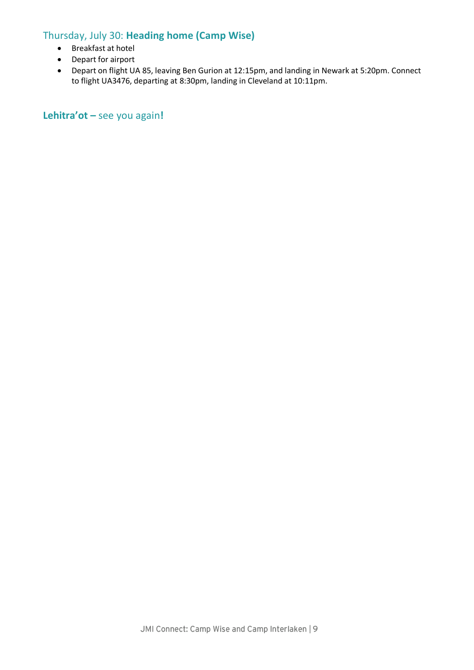# Thursday, July 30: **Heading home (Camp Wise)**

- Breakfast at hotel
- Depart for airport
- Depart on flight UA 85, leaving Ben Gurion at 12:15pm, and landing in Newark at 5:20pm. Connect to flight UA3476, departing at 8:30pm, landing in Cleveland at 10:11pm.

**Lehitra'ot –** see you again**!**